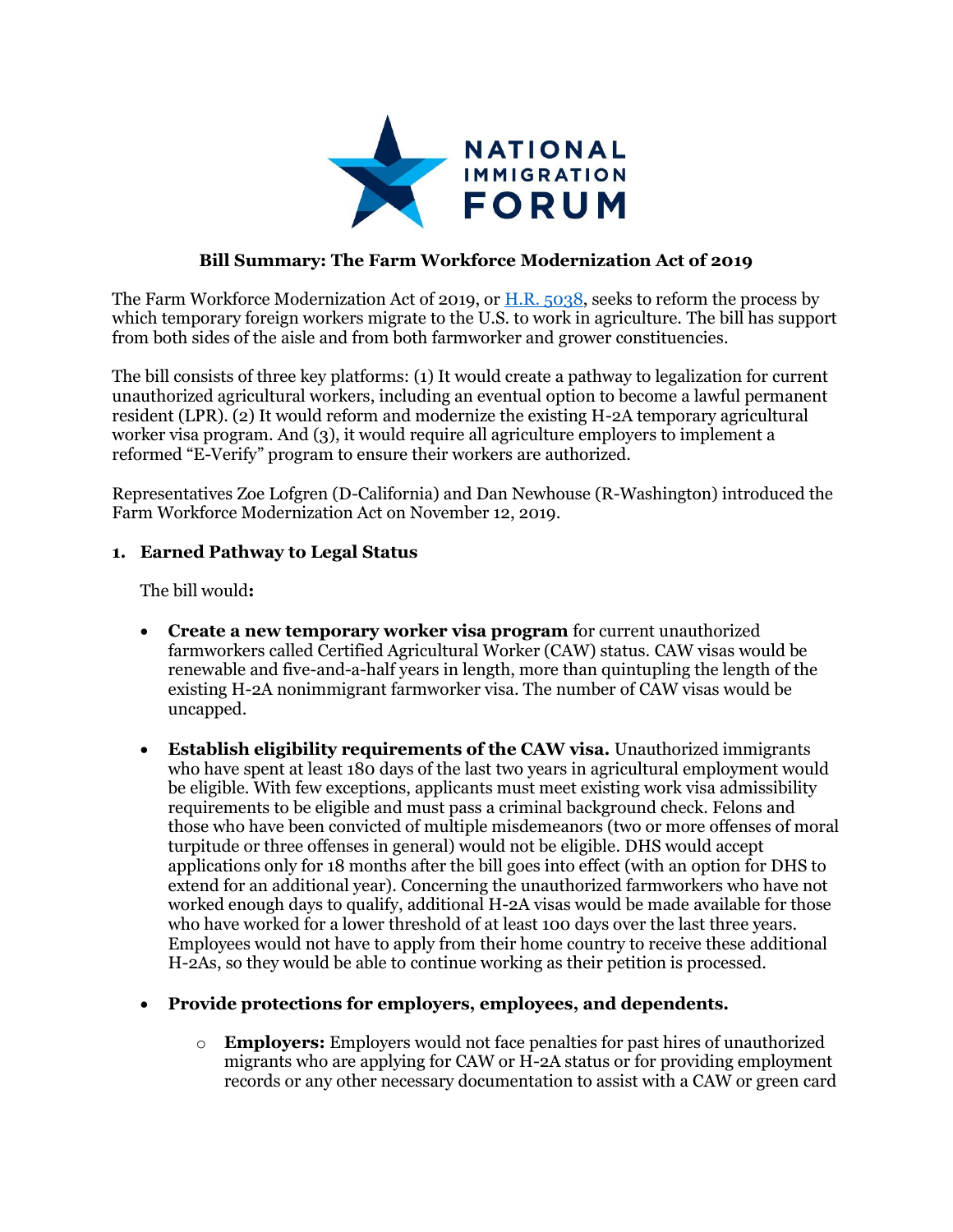

## **Bill Summary: The Farm Workforce Modernization Act of 2019**

The Farm Workforce Modernization Act of 2019, or [H.R. 5038,](https://www.congress.gov/bill/116th-congress/house-bill/5038?s=4&r=1) seeks to reform the process by which temporary foreign workers migrate to the U.S. to work in agriculture. The bill has support from both sides of the aisle and from both farmworker and grower constituencies.

The bill consists of three key platforms: (1) It would create a pathway to legalization for current unauthorized agricultural workers, including an eventual option to become a lawful permanent resident (LPR). (2) It would reform and modernize the existing H-2A temporary agricultural worker visa program. And (3), it would require all agriculture employers to implement a reformed "E-Verify" program to ensure their workers are authorized.

Representatives Zoe Lofgren (D-California) and Dan Newhouse (R-Washington) introduced the Farm Workforce Modernization Act on November 12, 2019.

### **1. Earned Pathway to Legal Status**

The bill would**:**

- **Create a new temporary worker visa program** for current unauthorized farmworkers called Certified Agricultural Worker (CAW) status. CAW visas would be renewable and five-and-a-half years in length, more than quintupling the length of the existing H-2A nonimmigrant farmworker visa. The number of CAW visas would be uncapped.
- **Establish eligibility requirements of the CAW visa.** Unauthorized immigrants who have spent at least 180 days of the last two years in agricultural employment would be eligible. With few exceptions, applicants must meet existing work visa admissibility requirements to be eligible and must pass a criminal background check. Felons and those who have been convicted of multiple misdemeanors (two or more offenses of moral turpitude or three offenses in general) would not be eligible. DHS would accept applications only for 18 months after the bill goes into effect (with an option for DHS to extend for an additional year). Concerning the unauthorized farmworkers who have not worked enough days to qualify, additional H-2A visas would be made available for those who have worked for a lower threshold of at least 100 days over the last three years. Employees would not have to apply from their home country to receive these additional H-2As, so they would be able to continue working as their petition is processed.

#### **Provide protections for employers, employees, and dependents.**

o **Employers:** Employers would not face penalties for past hires of unauthorized migrants who are applying for CAW or H-2A status or for providing employment records or any other necessary documentation to assist with a CAW or green card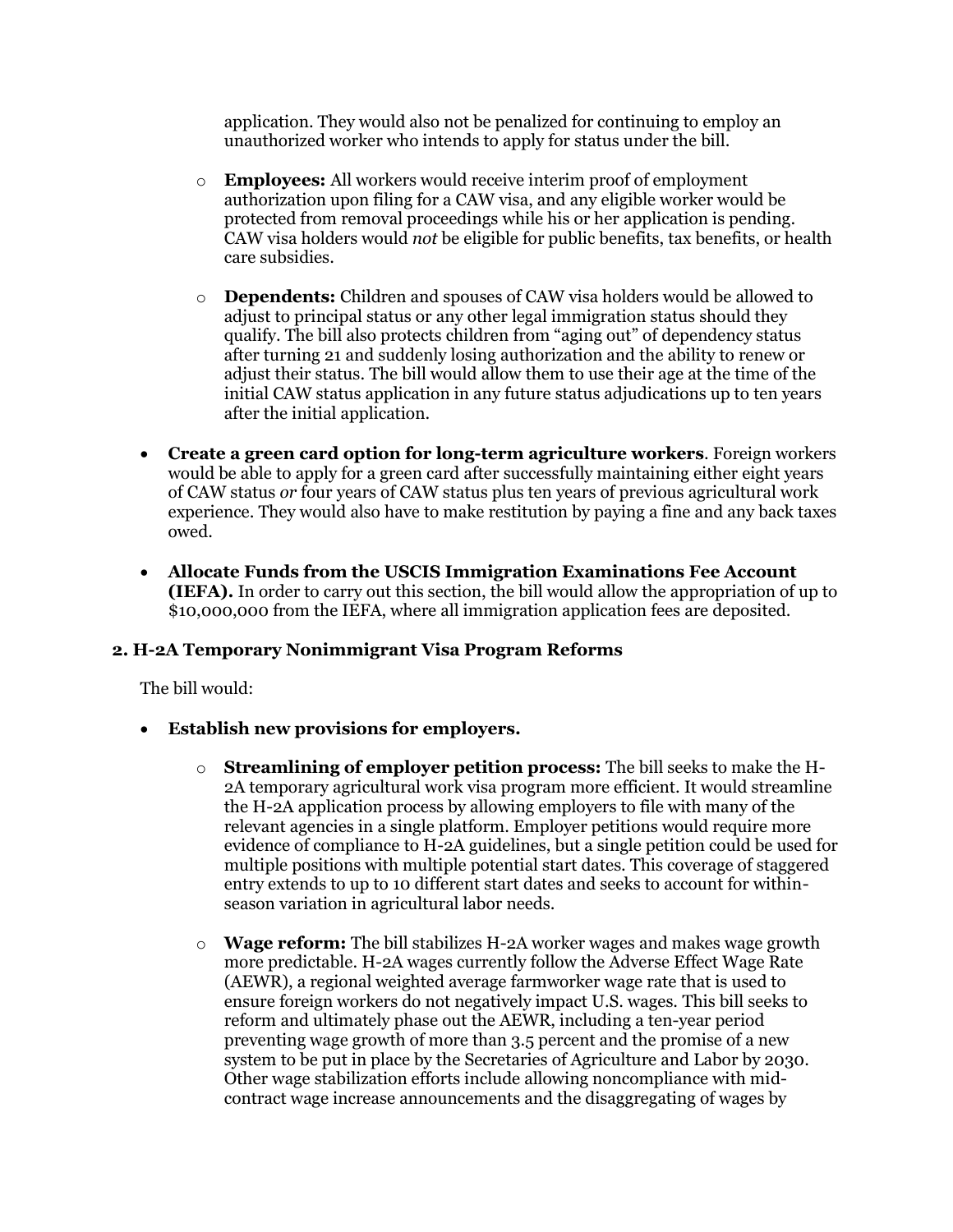application. They would also not be penalized for continuing to employ an unauthorized worker who intends to apply for status under the bill.

- o **Employees:** All workers would receive interim proof of employment authorization upon filing for a CAW visa, and any eligible worker would be protected from removal proceedings while his or her application is pending. CAW visa holders would *not* be eligible for public benefits, tax benefits, or health care subsidies.
- o **Dependents:** Children and spouses of CAW visa holders would be allowed to adjust to principal status or any other legal immigration status should they qualify. The bill also protects children from "aging out" of dependency status after turning 21 and suddenly losing authorization and the ability to renew or adjust their status. The bill would allow them to use their age at the time of the initial CAW status application in any future status adjudications up to ten years after the initial application.
- **Create a green card option for long-term agriculture workers**. Foreign workers would be able to apply for a green card after successfully maintaining either eight years of CAW status *or* four years of CAW status plus ten years of previous agricultural work experience. They would also have to make restitution by paying a fine and any back taxes owed.
- **Allocate Funds from the USCIS Immigration Examinations Fee Account (IEFA).** In order to carry out this section, the bill would allow the appropriation of up to \$10,000,000 from the IEFA, where all immigration application fees are deposited.

### **2. H-2A Temporary Nonimmigrant Visa Program Reforms**

The bill would:

- **Establish new provisions for employers.**
	- o **Streamlining of employer petition process:** The bill seeks to make the H-2A temporary agricultural work visa program more efficient. It would streamline the H-2A application process by allowing employers to file with many of the relevant agencies in a single platform. Employer petitions would require more evidence of compliance to H-2A guidelines, but a single petition could be used for multiple positions with multiple potential start dates. This coverage of staggered entry extends to up to 10 different start dates and seeks to account for withinseason variation in agricultural labor needs.
	- o **Wage reform:** The bill stabilizes H-2A worker wages and makes wage growth more predictable. H-2A wages currently follow the Adverse Effect Wage Rate (AEWR), a regional weighted average farmworker wage rate that is used to ensure foreign workers do not negatively impact U.S. wages. This bill seeks to reform and ultimately phase out the AEWR, including a ten-year period preventing wage growth of more than 3.5 percent and the promise of a new system to be put in place by the Secretaries of Agriculture and Labor by 2030. Other wage stabilization efforts include allowing noncompliance with midcontract wage increase announcements and the disaggregating of wages by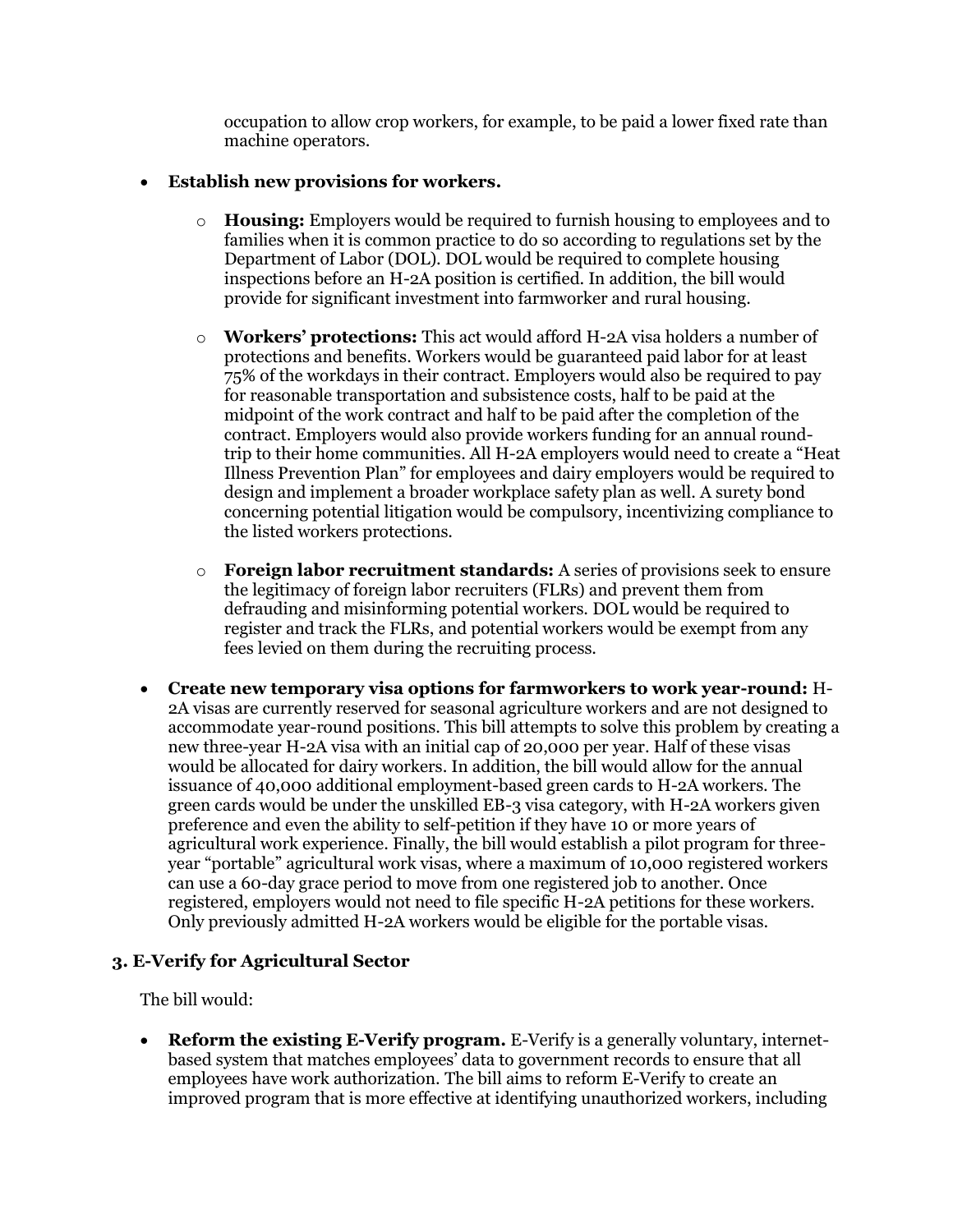occupation to allow crop workers, for example, to be paid a lower fixed rate than machine operators.

### **Establish new provisions for workers.**

- o **Housing:** Employers would be required to furnish housing to employees and to families when it is common practice to do so according to regulations set by the Department of Labor (DOL). DOL would be required to complete housing inspections before an H-2A position is certified. In addition, the bill would provide for significant investment into farmworker and rural housing.
- o **Workers' protections:** This act would afford H-2A visa holders a number of protections and benefits. Workers would be guaranteed paid labor for at least 75% of the workdays in their contract. Employers would also be required to pay for reasonable transportation and subsistence costs, half to be paid at the midpoint of the work contract and half to be paid after the completion of the contract. Employers would also provide workers funding for an annual roundtrip to their home communities. All H-2A employers would need to create a "Heat Illness Prevention Plan" for employees and dairy employers would be required to design and implement a broader workplace safety plan as well. A surety bond concerning potential litigation would be compulsory, incentivizing compliance to the listed workers protections.
- o **Foreign labor recruitment standards:** A series of provisions seek to ensure the legitimacy of foreign labor recruiters (FLRs) and prevent them from defrauding and misinforming potential workers. DOL would be required to register and track the FLRs, and potential workers would be exempt from any fees levied on them during the recruiting process.
- **Create new temporary visa options for farmworkers to work year-round:** H-2A visas are currently reserved for seasonal agriculture workers and are not designed to accommodate year-round positions. This bill attempts to solve this problem by creating a new three-year H-2A visa with an initial cap of 20,000 per year. Half of these visas would be allocated for dairy workers. In addition, the bill would allow for the annual issuance of 40,000 additional employment-based green cards to H-2A workers. The green cards would be under the unskilled EB-3 visa category, with H-2A workers given preference and even the ability to self-petition if they have 10 or more years of agricultural work experience. Finally, the bill would establish a pilot program for threeyear "portable" agricultural work visas, where a maximum of 10,000 registered workers can use a 60-day grace period to move from one registered job to another. Once registered, employers would not need to file specific H-2A petitions for these workers. Only previously admitted H-2A workers would be eligible for the portable visas.

# **3. E-Verify for Agricultural Sector**

The bill would:

 **Reform the existing E-Verify program.** E-Verify is a generally voluntary, internetbased system that matches employees' data to government records to ensure that all employees have work authorization. The bill aims to reform E-Verify to create an improved program that is more effective at identifying unauthorized workers, including